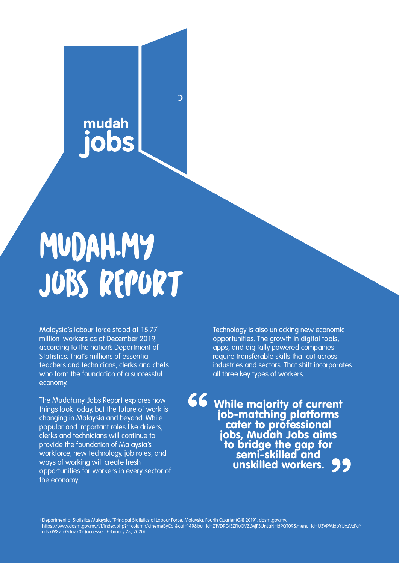# mudah

 $\overline{\mathcal{L}}$ 

# MUDAH.MY JOBS REPORT

**Malaysia's labour force stood at 15.77 million workers as of December 2019, according to the nation's Department of Statistics. That's millions of essential teachers and technicians, clerks and chefs who form the foundation of a successful economy.** 

**The Mudah.my Jobs Report explores how things look today, but the future of work is changing in Malaysia and beyond. While popular and important roles like drivers, clerks and technicians will continue to provide the foundation of Malaysia's workforce, new technology, job roles, and ways of working will create fresh opportunities for workers in every sector of the economy.**

**Technology is also unlocking new economic opportunities. The growth in digital tools, apps, and digitally powered companies require transferable skills that cut across industries and sectors. That shift incorporates all three key types of workers.** 

While majority of current job-matching platforms cater to professional jobs, Mudah Jobs aims to bridge the gap for<br>\_ semi-skilled and **unskilled workers.**<br> **99**<br>
Unskilled workers. "

Department of Statistics Malaysia, "Principal Statistics of Labour Force, Malaysia, Fourth Quarter (Q4) 2019", dosm.gov.my.

https://www.dosm.gov.my/v1/index.php?r=column/cthemeByCat&cat=149&bul\_id=Z1VDRGt3ZFluOVZLWjF3UnJaNHdPQT09&menu\_id=U3VPMldoYUxzVzFaY mNkWXZteGduZz09 (accessed February 28, 2020)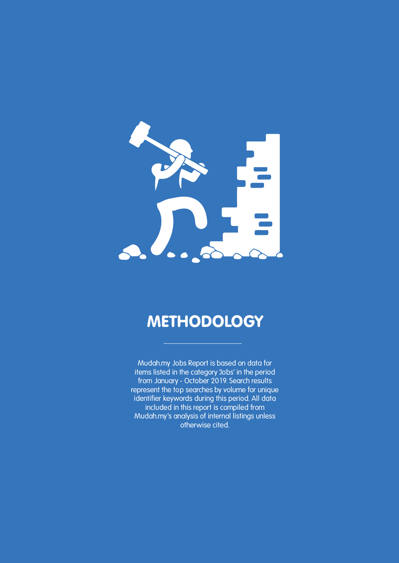

### **METHODOLOGY**

**Mudah.my Jobs Report is based on data for items listed in the category 'Jobs' in the period from January - October 2019. Search results represent the top searches by volume for unique identifier keywords during this period. All data included in this report is compiled from Mudah.my's analysis of internal listings unless otherwise cited.**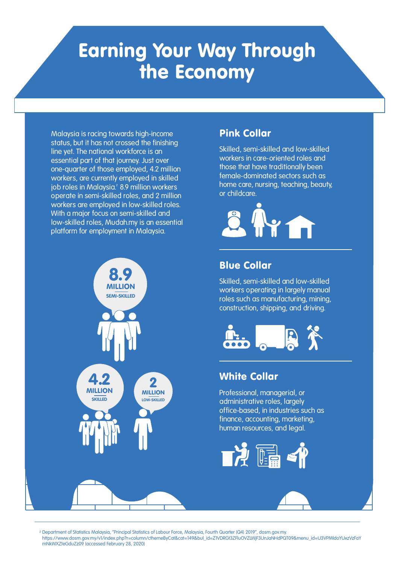## Earning Your Way Through the Economy

**Malaysia is racing towards high-income status, but it has not crossed the finishing line yet. The national workforce is an essential part of that journey. Just over one-quarter of those employed, 4.2 million workers, are currently employed in skilled job roles in Malaysia. 8.9 million workers operate in semi-skilled roles, and 2 million workers are employed in low-skilled roles. With a major focus on semi-skilled and low-skilled roles, Mudah.my is an essential platform for employment in Malaysia.** 



#### Pink Collar

**Skilled, semi-skilled and low-skilled workers in care-oriented roles and those that have traditionally been female-dominated sectors such as home care, nursing, teaching, beauty, or childcare.** 



#### Blue Collar

**Skilled, semi-skilled and low-skilled workers operating in largely manual roles such as manufacturing, mining, construction, shipping, and driving.**



#### White Collar

**Professional, managerial, or administrative roles, largely office-based, in industries such as finance, accounting, marketing, human resources, and legal.**



<sup>2</sup> Department of Statistics Malaysia, "Principal Statistics of Labour Force, Malaysia, Fourth Quarter (Q4) 2019", dosm.gov.my. https://www.dosm.gov.my/v1/index.php?r=column/cthemeByCat&cat=149&bul\_id=Z1VDRGt3ZFluOVZLWjF3UnJaNHdPQT09&menu\_id=U3VPMldoYUxzVzFaY mNkWXZteGduZz09 (accessed February 28, 2020)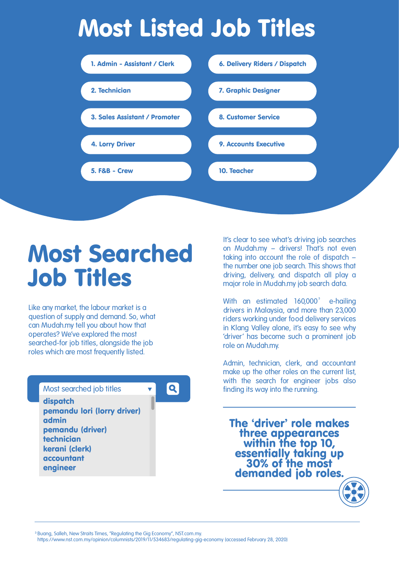# Most Listed Job Titles



## Most Searched Job Titles

**Like any market, the labour market is a question of supply and demand. So, what can Mudah.my tell you about how that operates? We've explored the most searched-for job titles, alongside the job roles which are most frequently listed.** 

#### **Most searched job titles**

dispatch pemandu lori (lorry driver) admin pemandu (driver) technician kerani (clerk) accountant engineer



**It's clear to see what's driving job searches on Mudah.my – drivers! That's not even taking into account the role of dispatch – the number one job search. This shows that driving, delivery, and dispatch all play a major role in Mudah.my job search data.**

With an estimated 160,000<sup>°</sup> e-hailing **drivers in Malaysia, and more than 23,000 riders working under food delivery services in Klang Valley alone, it's easy to see why 'driver' has become such a prominent job role on Mudah.my.**

**Admin, technician, clerk, and accountant make up the other roles on the current list, with the search for engineer jobs also finding its way into the running.** 

The 'driver' role makes three appearances within the top 10, essentially taking up<br>30% of the most demanded job roles.